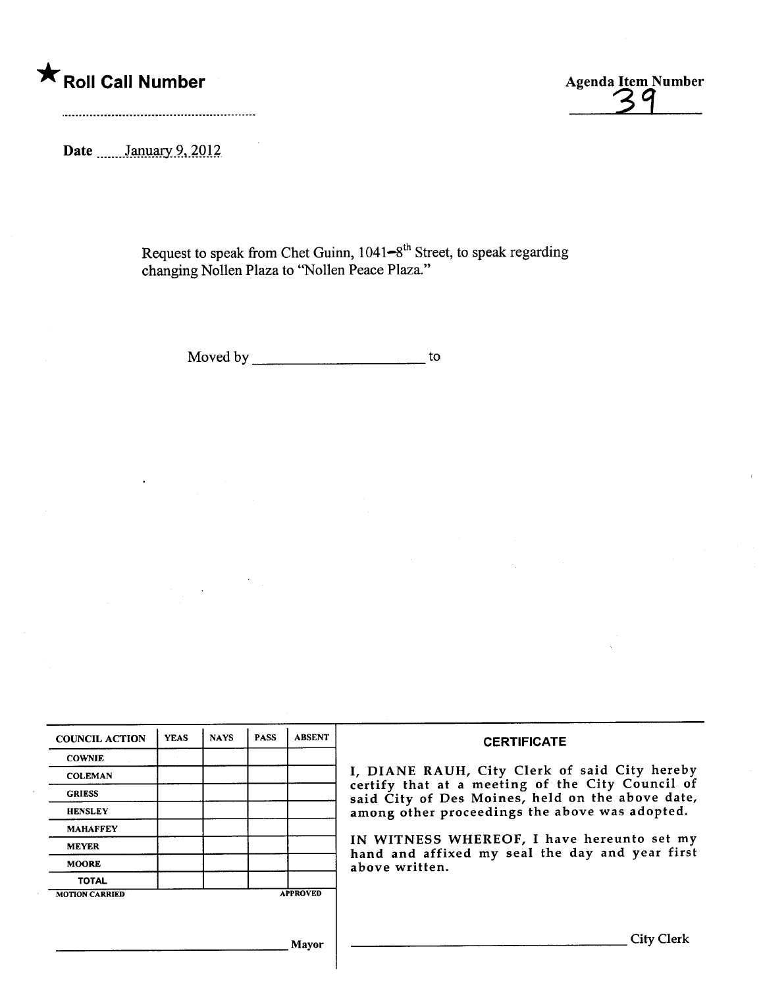# \* Roll Call Number Agenda Item Agenda Item Agenda Item Agenda Item Agenda Item Agenda Item Agenda Item Agenda Item Agenda Item Agenda Item Agenda Item Agenda Item Agenda Item Agenda Item Agenda Item Agenda Item Agenda Item

Agenda Item Number

Date **Manuary** 9, 2012

Request to speak from Chet Guinn, 1041<del>–</del>8" Street, to speak regarding changing Nollen Plaza to "Nollen Peace Plaza."

Moved by to to the state of the state of the state of the state of the state of the state of the state of the state of the state of the state of the state of the state of the state of the state of the state of the state of

| <b>COUNCIL ACTION</b> | <b>YEAS</b> | <b>NAYS</b> | <b>PASS</b> | <b>ABSENT</b>   | <b>CERTIFICATE</b>                                                                                                                                     |
|-----------------------|-------------|-------------|-------------|-----------------|--------------------------------------------------------------------------------------------------------------------------------------------------------|
| <b>COWNIE</b>         |             |             |             |                 |                                                                                                                                                        |
| <b>COLEMAN</b>        |             |             |             |                 | I, DIANE RAUH, City Clerk of said City hereby                                                                                                          |
| <b>GRIESS</b>         |             |             |             |                 | certify that at a meeting of the City Council of<br>said City of Des Moines, held on the above date,<br>among other proceedings the above was adopted. |
| <b>HENSLEY</b>        |             |             |             |                 |                                                                                                                                                        |
| <b>MAHAFFEY</b>       |             |             |             |                 |                                                                                                                                                        |
| <b>MEYER</b>          |             |             |             |                 | IN WITNESS WHEREOF, I have hereunto set my<br>hand and affixed my seal the day and year first                                                          |
| <b>MOORE</b>          |             |             |             |                 | above written.                                                                                                                                         |
| <b>TOTAL</b>          |             |             |             |                 |                                                                                                                                                        |
| <b>MOTION CARRIED</b> |             |             |             | <b>APPROVED</b> |                                                                                                                                                        |
|                       |             |             |             |                 |                                                                                                                                                        |
|                       |             |             |             | Mavor           | <b>City Clerk</b>                                                                                                                                      |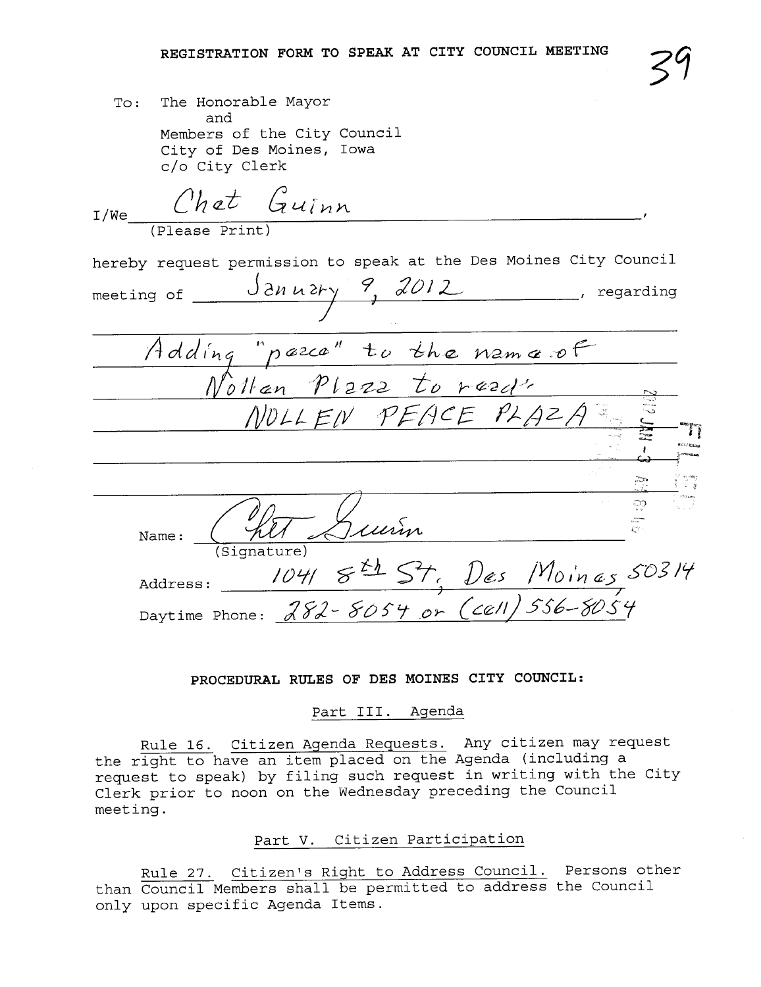| To: The Honorable Mayor     |  |  |  |  |  |  |
|-----------------------------|--|--|--|--|--|--|
| and                         |  |  |  |  |  |  |
| Members of the City Council |  |  |  |  |  |  |
| City of Des Moines, Iowa    |  |  |  |  |  |  |
| c/o City Clerk              |  |  |  |  |  |  |

 $I_{I/Ne}$  Chet Guinn (Please Print) hereby request permission to speak at the Des Moines City Council J en u ery meeting of  $\frac{1}{2}$   $\frac{1}{2}$   $\frac{1}{2}$   $\frac{2012}{1}$ , regarding Adding "pazca" to  $V$ uran  $V$ uz $2$ NOLL EN PEACE PLAZA  $276e$  N2m  $470$  $\frac{10 \text{ rad}}{2}$ -~ 2<br>2: in 1 ,  $\mathbf{r}$ ilCLr~;¡  $r^{\rm max}$ ,:::'£)1. Name: Chit Suin  $104184$ Daytime Phone: *182-8054 .*O  $...$   $z$ .  $\widetilde{\mathbb{C}}$ Address:  $10418437, \text{Des}$   $1\%$  in  $\epsilon$  s  $50517$ <u>(</u>cell) 556–8054

#### PROCEDURAL RULES OF DES MOINES CITY COUNCIL:

#### Part III. Agenda

Rule 16. Citizen Agenda Requests. Any citizen may request the right to have an item placed on the Agenda (including a request to speak) by filing such request in writing with the City Clerk prior to noon on the Wednesday preceding the Council meet ing .

#### Part V. Citizen Participation

Rule 27. Citizen's Right to Address Council. Persons other than Council Members shall be permitted to address the Council only upon specific Agenda Items.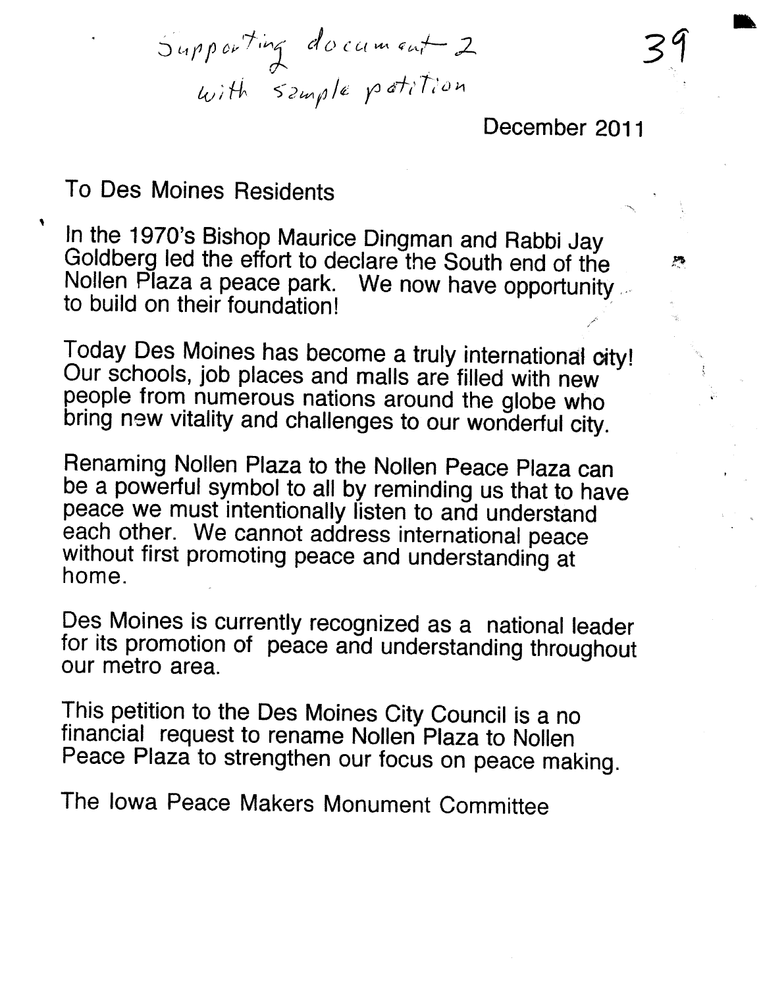$J^{q}$   $J^{q}$   $J^{q}$  $\omega$ <sup>*i*</sup> in Szwigre  $\mu$ 

December 2011

31

~

ii'

".

.

### To Des Moines Residents

,

In the 1970's Bishop Maurice Dingman and Rabbi Jay Goldberg led the effort to declare the South end of the Nollen Plaza a peace park. We now have opportunity ...

Today Des Moines has become a truly international oity! Our schools, job places and malls are filed with new people from numerous nations around the globe who bring new vitality and challenges to our wonderful city.

Renaming Nollen Plaza to the Nollen Peace Plaza can be a powerful symbol to all by reminding us that to have peace we must intentionally listen to and understand each other. We cannot address international peace without first promoting peace and understanding at home.

Des Moines is currently recognized as a national leader for its promotion of peace and understanding throughout our metro area.

This petition to the Des Moines City Council is a no financial request to rename Nollen Plaza to Nollen Peace Plaza to strengthen our focus on peace making.

The Iowa Peace Makers Monument Committee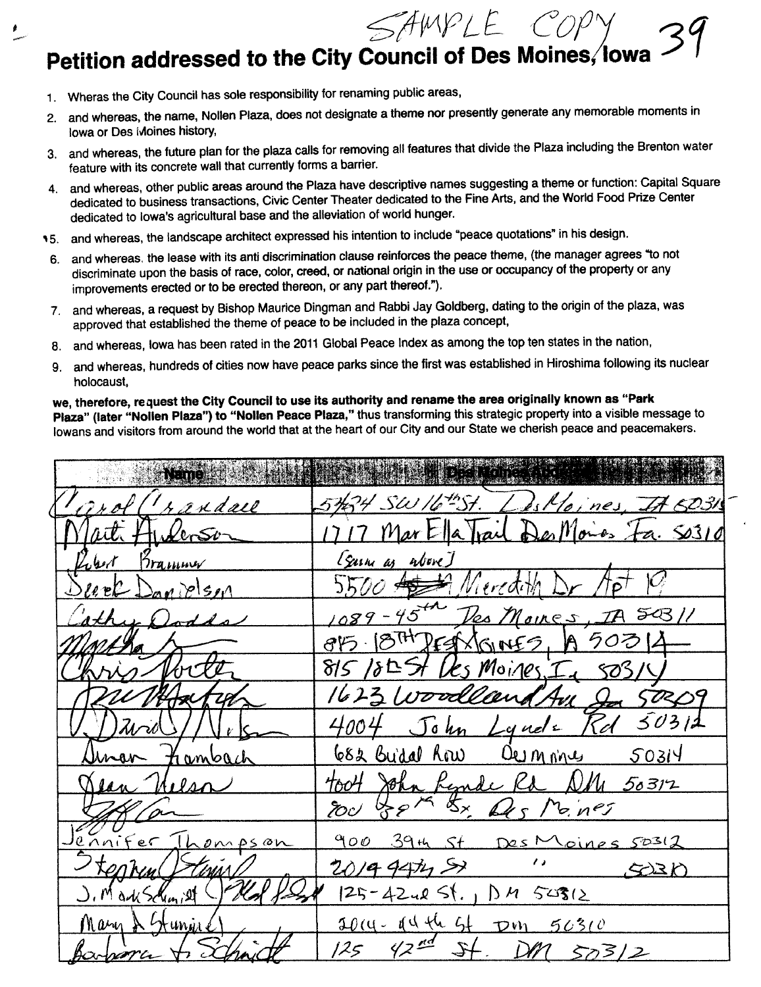$2^{6}$   $2^{100}$   $1^{10}$   $2^{10}$   $2^{10}$ 

# Petition addressed to the City Council of Des Moines, lowa  $\,\mathcal{F}\,$  ,

1. Wheras the City Council has sole responsibility for renaming public areas,

l

 $\overline{\mathcal{L}}$ 

- 2. and whereas, the name, Nollen Plaza, does not designate a theme nor presently generate any memorable moments in Iowa or Des Moines history,
- 3. and whereas, the future plan for the plaza calls for removing all features that divide the Plaza including the Brenton water feature with its concrete wall that currently forms a barrier.
- 4. and whereas, other public areas around the Plaza have descriptive names suggesting a theme or function: Capital Square dedicated to business transactions, Civic Center Theater dedicated to the Fine Arts, and the World Food Prize Center dedicated to Iowa's agricultural base and the alleviation of world hunger.
- 15. and whereas, the landscape architect expressed his intention to include "peace quotations" in his design.
- 6. and whereas. the lease with its anti discrimination clause reinforces the peace theme, (the manager agrees '10 not discriminate upon the basis of race, color, creed, or national origin in the use or occupancy of the property or any improvements erected or to be erected thereon, or any part thereof.").
- 7, and whereas, a request by Bishop Maurice Dingman and Rabbi Jay Goldberg, dating to the origin of the plaza, was approved that established the theme of peace to be included in the plaza concept,
- 8. and whereas, Iowa has been rated in the 2011 Global Peace Index as among the top ten states in the nation,
- 9. and whereas, hundreds of cities now have peace parks since the first was established in Hiroshima following its nuclear holocaust,

we, therefore, request the City Council to use its authority and rename the area originally known as "Park Plaza" (later "Nollen Plaza") to "Nollen Peace Plaza," thus transforming this strategic property into a visible message to Iowans and visitors from around the world that at the heart of our City and our State we cherish peace and peacemakers.

| <b>Name</b>                 |                                          |
|-----------------------------|------------------------------------------|
| Torol (randall              | 5434 SW 16th Delloines. It 5031          |
| arti HuderSon               | 1717 Mar Ella Trail Des Moiros Fa. SO310 |
| Robert Brammer              | [Surne as above]                         |
| <u>Devel Danvelson</u>      | $5500$ $43$ Meredith Dr.                 |
| Cather Dodds                | 1089-45th Des Moires, IA 50311           |
|                             | 815 18TH DEST 1GINES, 19 50314           |
| Kris Nocte                  | 815 1845t Les Moines In 503/4            |
| eu Martin                   | 1623 Woodland Ave 20 50209               |
| $U, V)$ Tirol $\setminus$ / | 4004 John Lynde Rd 50311                 |
| Aman Frambach               | 682 Buidal Row Ownones 50314             |
| <u>Vean Melson</u>          | toot John Rende Ra NM 50312              |
|                             | rou of pr the Des Moines                 |
| <u>Jennifer Thompson</u>    | 900 39th St Des Moines 50312             |
| Stennen Sterin              | $\frac{1}{2}$<br>201994755<br>ASE        |
| J. Markschmist              | $125 - 4242$ St., $M$ 54312              |
| Mary & Stunie ()            | 10mg-14th st DM 50310                    |
| Barbara A.S.                | $125$ $42^{\frac{nd}{s}}$ St. DM 503/2   |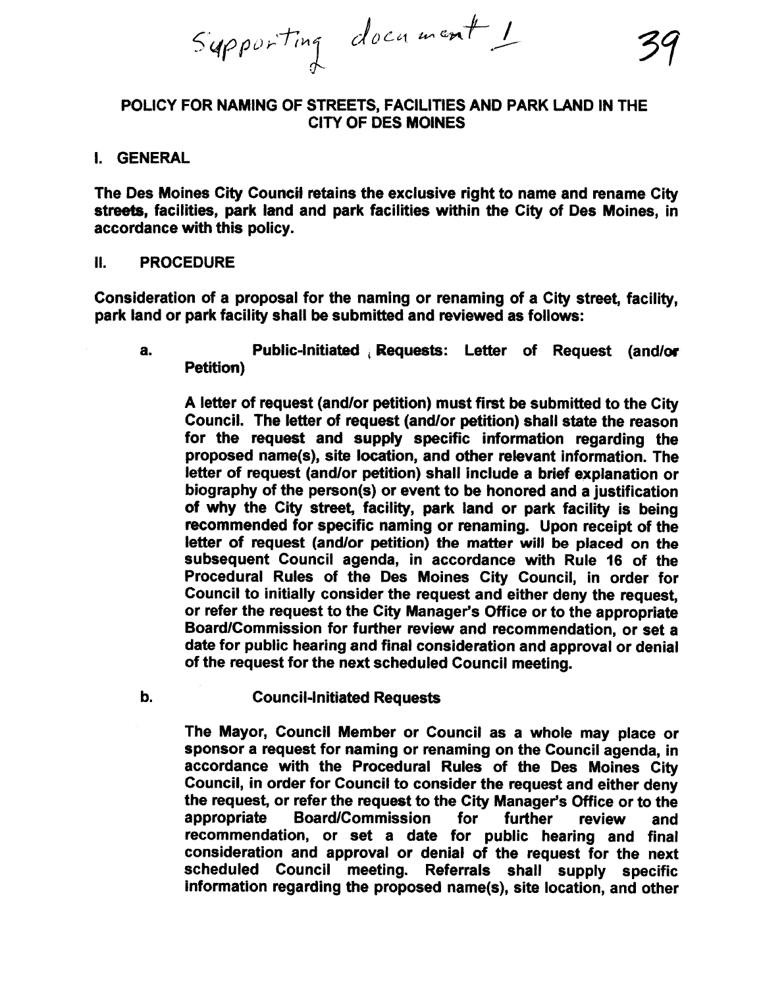$Sq$ pporting document  $1$ 

#### POLICY FOR NAMING OF STREETS, FACILITIES AND PARK LAND IN THE CITY OF DES MOINES

#### I. GENERAL

The Des Moines City Council retains the exclusive right to name and rename City streets, facilities, park land and park facilities within the City of Des Moines, in accordance with this policy.

#### II. PROCEDURE

Consideration of a proposal for the naming or renaming of a City street, facilty, park land or park facility shall be submitted and reviewed as follows:

a. Public-initiated Requests: Letter of Request (and/or Petition)

A letter of request (and/or petition) must first be submitted to the City Council. The letter of request (and/or petition) shall state the reason for the request and supply specific information regarding the proposed name(s), site location, and other relevant information. The letter of request (and/or petition) shall include a brief explanation or biography of the person(s) or event to be honored and a justification of why the City street, facility, park land or park facility is being recommended for specific naming or renaming. Upon receipt of the letter of request (and/or petition) the matter will be placed on the subsequent Council agenda, in accordance with Rule 16 of the Procedural Rules of the Des Moines City Council, in order for Council to initially consider the request and either deny the request, or refer the request to the City Manager's Office or to the appropriate Board/Commission for further review and recommendation, or set a date for public hearing and final consideration and approval or denial of the request for the next scheduled Council meeting.

b. Council-Initiated Requests

The Mayor, Council Member or Council as a whole may place or sponsor a request for naming or renaming on the Council agenda, in accordance with the Procedural Rules of the Des Moines City Council, in order for Council to consider the request and either deny the request, or refer the request to the City Manager's Ofice or to the appropriate Board/Commission for further review and recommendation, or set a date for public hearing and final consideration and approval or denial of the request for the next Referrals shall supply specific information regarding the proposed name(s), site location, and other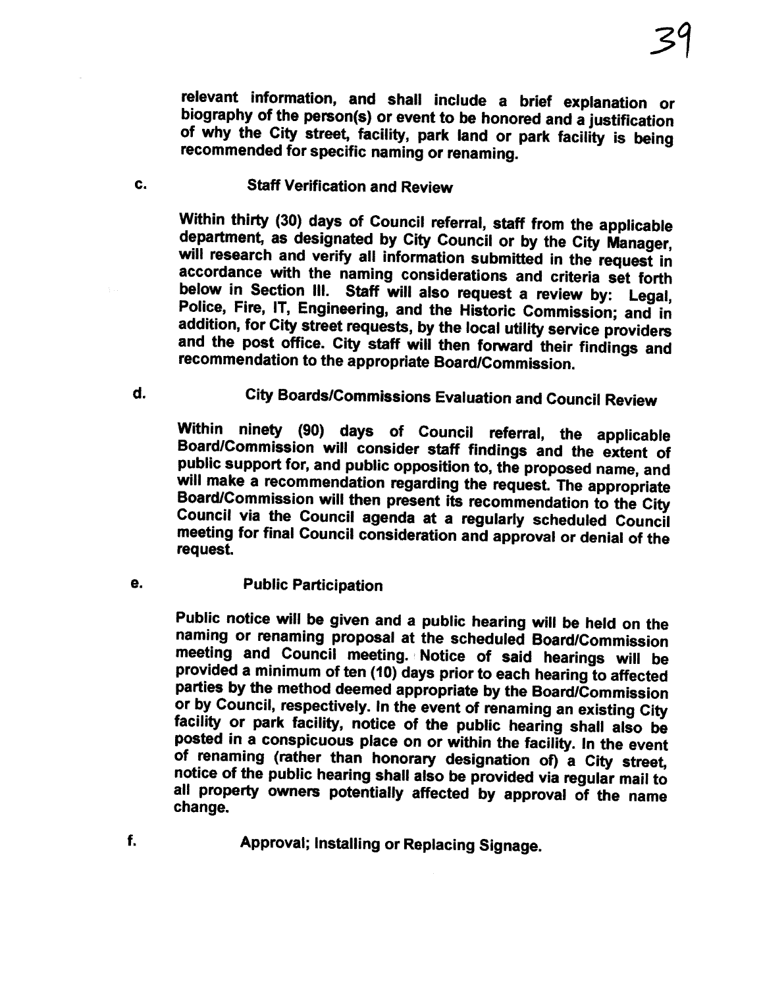relevant information, and shall include a brief explanation or biography of the person(s) or event to be honored and a justification of why the City street, facility, park land or park facility is being recommended for specific naming or renaming.

#### c. Staff Verification and Review

Within thirty (30) days of Council referral, staff from the applicable department, as designated by City Council or by the City Manager, will research and verify all information submitted in the request in accordance with the naming considerations and criteria set forth below in Section III. Staff will also request a review by: Legal, Police, Fire, IT, Engineering, and the Historic Commission; and in addition, for City street requests, by the local utilty service providers and the post office. City staff will then forward their findings and recommendation to the appropriate Board/Commission.

d. City Boards/Commissions Evaluation and Council Review

Within ninety (90) days of Council referral, the applicable Board/Commission wil consider staff findings and the extent of public support for, and public opposition to, the proposed name, and will make a recommendation regarding the request. The appropriate Board/Commission wil then present its recommendation to the City Council via the Council agenda at a regularly scheduled Council meeting for final Council consideration and approval or denial of the request.

e. Public Participation

Public notice will be given and a public hearing wil be held on the naming or renaming proposal at the scheduled Board/Commission meeting and Council meeting. Notice of said hearings will be provided a minimum of ten (10) days prior to each hearing to affected parties by the method deemed appropriate by the Board/Commission or by Council, respectively. In the event of renaming an existing City facility or park facility, notice of the public hearing shall also be posted in a conspicuous place on or within the facility. In the event of renaming (rather than honorary designation of) a City street, notice of the public hearing shall also be provided via regular mail to all property owners potentially affected by approval of the name change.

Approval; Installing or Replacing Signage.

f.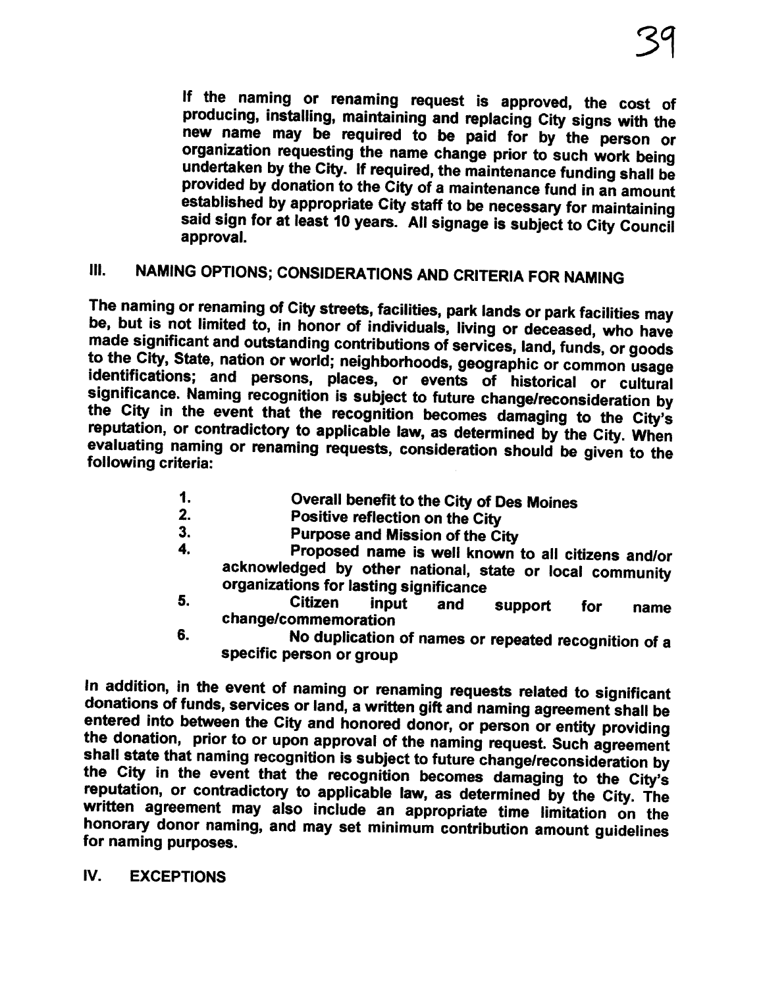If the naming or renaming request is approved, the cost of producing, installing, maintaining and replacing City signs with the new name may be required to be paid for by the person or organization requesting the name change prior to such work being undertaken by the City. If required, the maintenance funding shall be provided by donation to the City of a maintenance fund in an amount established by appropriate City staff to be necessary for maintaining said sign for at least 10 years. All signage is subject to City Council approval.

## III. NAMING OPTIONS; CONSIDERATIONS AND CRITERIA FOR NAMING

The naming or renaming of City streets, facilties, park lands or park facilties may be, but is not limited to, in honor of individuals, living or deceased, who have made significant and outstanding contributions of services, land, funds, or goods to the City, State, nation or world; neighborhoods, geographic or common usage identifications; and persons, places, or events of historical or cultural significance. Naming recognition is subject to future change/reconsideration by the City in the event that the recognition becomes damaging to the City's reputation, or contradictory to applicable law, as determined by the City. When evaluating naming or renaming requests, consideration should be given to the following criteria:

- 1. **Contrary Overall benefit to the City of Des Moines**<br>2. **Positive reflection on the City**
- 2. Positive reflection on the City<br>3. Purpose and Mission of the Ci
- 3. **Purpose and Mission of the City**<br>4. **Proposed name is well known**
- 4. Proposed name is well known to all citizens and/or acknowledged by other national, state or local community organizations for lasting significance
- 5. Citizen input and support for name change/commemoration
- 6. No duplication of names or repeated recognition of a specific person or group

In addition, in the event of naming or renaming requests related to significant donations of funds, services or land, a written gift and naming agreement shall be entered into between the City and honored donor, or person or entity providing the donation, prior to or upon approval of the naming request. Such agreement shall state that naming recognition is subject to future change/reconsideration by the City in the event that the recognition becomes damaging to the City's reputation, or contradictory to applicable law, as determined by the City. The written agreement may also include an appropriate time limitation on the honorary donor naming, and may set minimum contribution amount guidelines for naming purposes.

iV. EXCEPTIONS